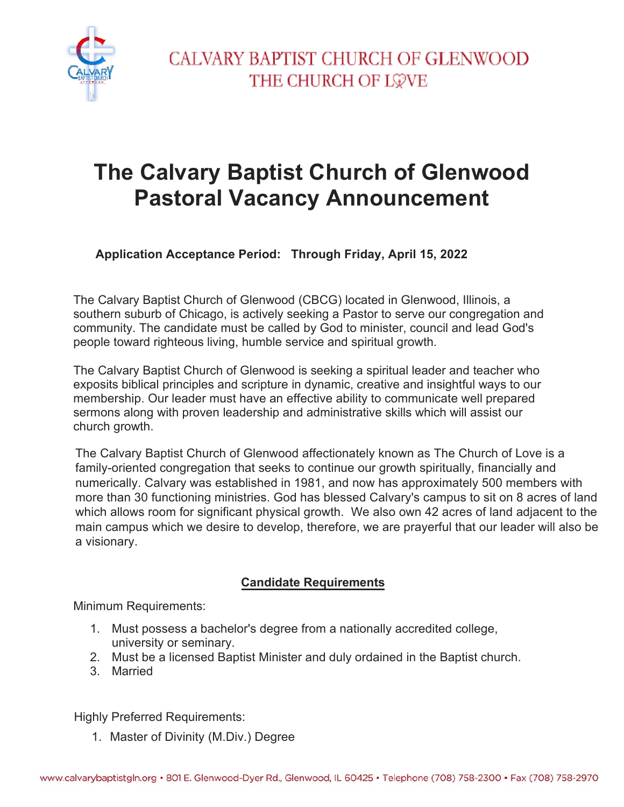

## **The Calvary Baptist Church of Glenwood Pastoral Vacancy Announcement**

**Application Acceptance Period: Through Friday, April 15, 2022**

The Calvary Baptist Church of Glenwood (CBCG) located in Glenwood, Illinois, a southern suburb of Chicago, is actively seeking a Pastor to serve our congregation and community. The candidate must be called by God to minister, council and lead God's people toward righteous living, humble service and spiritual growth.

The Calvary Baptist Church of Glenwood is seeking a spiritual leader and teacher who exposits biblical principles and scripture in dynamic, creative and insightful ways to our membership. Our leader must have an effective ability to communicate well prepared sermons along with proven leadership and administrative skills which will assist our church growth.

The Calvary Baptist Church of Glenwood affectionately known as The Church of Love is a family-oriented congregation that seeks to continue our growth spiritually, financially and numerically. Calvary was established in 1981, and now has approximately 500 members with more than 30 functioning ministries. God has blessed Calvary's campus to sit on 8 acres of land which allows room for significant physical growth. We also own 42 acres of land adjacent to the main campus which we desire to develop, therefore, we are prayerful that our leader will also be a visionary.

#### **Candidate Requirements**

Minimum Requirements:

- 1. Must possess a bachelor's degree from a nationally accredited college, university or seminary.
- 2. Must be a licensed Baptist Minister and duly ordained in the Baptist church.
- 3. Married

Highly Preferred Requirements:

1. Master of Divinity (M.Div.) Degree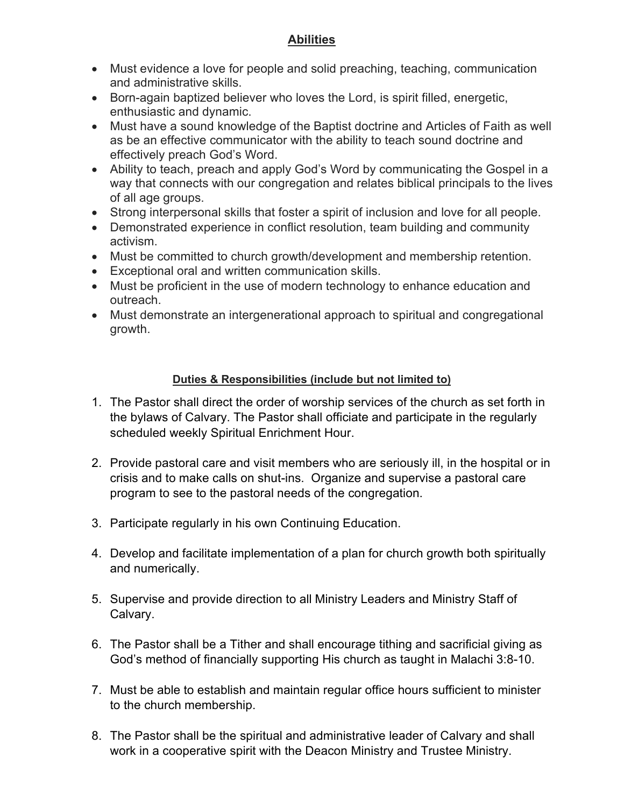#### **Abilities**

- Must evidence a love for people and solid preaching, teaching, communication and administrative skills.
- Born-again baptized believer who loves the Lord, is spirit filled, energetic, enthusiastic and dynamic.
- Must have a sound knowledge of the Baptist doctrine and Articles of Faith as well as be an effective communicator with the ability to teach sound doctrine and effectively preach God's Word.
- Ability to teach, preach and apply God's Word by communicating the Gospel in a way that connects with our congregation and relates biblical principals to the lives of all age groups.
- Strong interpersonal skills that foster a spirit of inclusion and love for all people.
- Demonstrated experience in conflict resolution, team building and community activism.
- Must be committed to church growth/development and membership retention.
- Exceptional oral and written communication skills.
- Must be proficient in the use of modern technology to enhance education and outreach.
- Must demonstrate an intergenerational approach to spiritual and congregational growth.

#### **Duties & Responsibilities (include but not limited to)**

- 1. The Pastor shall direct the order of worship services of the church as set forth in the bylaws of Calvary. The Pastor shall officiate and participate in the regularly scheduled weekly Spiritual Enrichment Hour.
- 2. Provide pastoral care and visit members who are seriously ill, in the hospital or in crisis and to make calls on shut-ins. Organize and supervise a pastoral care program to see to the pastoral needs of the congregation.
- 3. Participate regularly in his own Continuing Education.
- 4. Develop and facilitate implementation of a plan for church growth both spiritually and numerically.
- 5. Supervise and provide direction to all Ministry Leaders and Ministry Staff of Calvary.
- 6. The Pastor shall be a Tither and shall encourage tithing and sacrificial giving as God's method of financially supporting His church as taught in Malachi 3:8-10.
- 7. Must be able to establish and maintain regular office hours sufficient to minister to the church membership.
- 8. The Pastor shall be the spiritual and administrative leader of Calvary and shall work in a cooperative spirit with the Deacon Ministry and Trustee Ministry.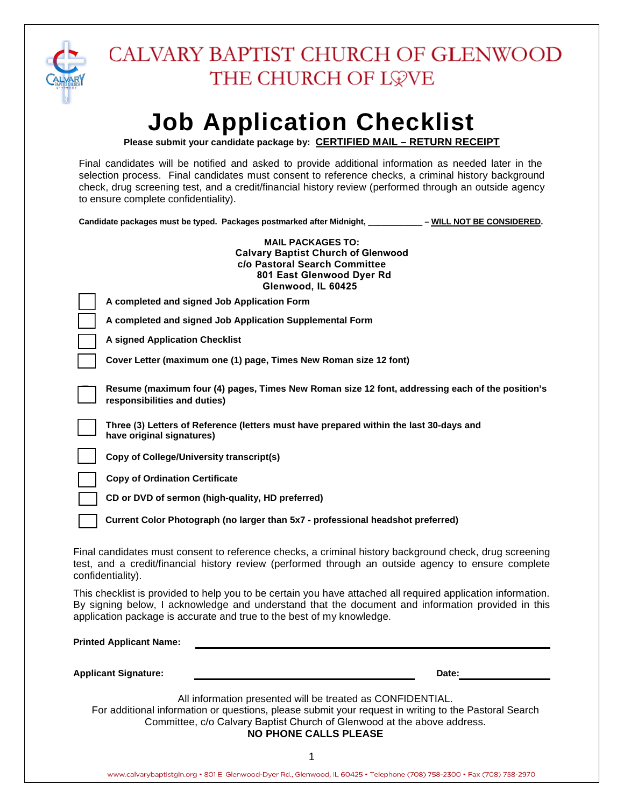

# **Job Application Checklist**

**Please submit your candidate package by: CERTIFIED MAIL – RETURN RECEIPT**

Final candidates will be notified and asked to provide additional information as needed later in the selection process. Final candidates must consent to reference checks, a criminal history background check, drug screening test, and a credit/financial history review (performed through an outside agency to ensure complete confidentiality).

**Candidate packages must be typed. Packages postmarked after Midnight, \_\_\_\_\_\_\_\_\_\_\_\_ – WILL NOT BE CONSIDERED.** 

| <b>MAIL PACKAGES TO:</b><br><b>Calvary Baptist Church of Glenwood</b><br>c/o Pastoral Search Committee<br>801 East Glenwood Dyer Rd<br>Glenwood, IL 60425                                                                                                                                  |
|--------------------------------------------------------------------------------------------------------------------------------------------------------------------------------------------------------------------------------------------------------------------------------------------|
| A completed and signed Job Application Form                                                                                                                                                                                                                                                |
| A completed and signed Job Application Supplemental Form                                                                                                                                                                                                                                   |
| <b>A signed Application Checklist</b>                                                                                                                                                                                                                                                      |
| Cover Letter (maximum one (1) page, Times New Roman size 12 font)                                                                                                                                                                                                                          |
| Resume (maximum four (4) pages, Times New Roman size 12 font, addressing each of the position's<br>responsibilities and duties)                                                                                                                                                            |
| Three (3) Letters of Reference (letters must have prepared within the last 30-days and<br>have original signatures)                                                                                                                                                                        |
| Copy of College/University transcript(s)                                                                                                                                                                                                                                                   |
| <b>Copy of Ordination Certificate</b>                                                                                                                                                                                                                                                      |
| CD or DVD of sermon (high-quality, HD preferred)                                                                                                                                                                                                                                           |
| Current Color Photograph (no larger than 5x7 - professional headshot preferred)                                                                                                                                                                                                            |
| Final candidates must consent to reference checks, a criminal history background check, drug screening<br>test, and a credit/financial history review (performed through an outside agency to ensure complete<br>confidentiality).                                                         |
| This checklist is provided to help you to be certain you have attached all required application information.<br>By signing below, I acknowledge and understand that the document and information provided in this<br>application package is accurate and true to the best of my knowledge. |
| <b>Printed Applicant Name:</b>                                                                                                                                                                                                                                                             |
| <b>Applicant Signature:</b><br>Date:                                                                                                                                                                                                                                                       |
| All information presented will be treated as CONFIDENTIAL.<br>For additional information or questions, please submit your request in writing to the Pastoral Search<br>Committee, c/o Calvary Baptist Church of Glenwood at the above address.<br>NO DUONE CALLE DI EACE                   |

**NO PHONE CALLS PLEASE**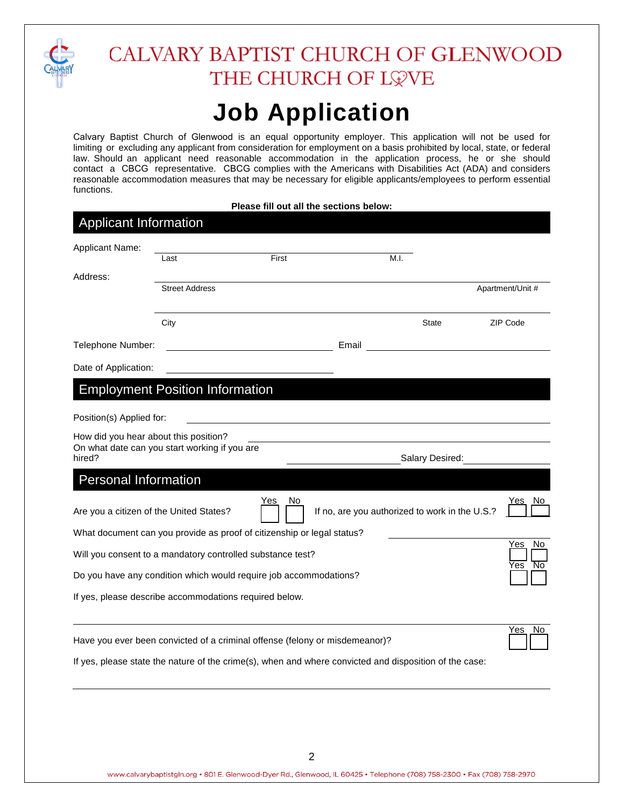

### CALVARY BAPTIST CHURCH OF GLENWOOD THE CHURCH OF LOVE

## **Job Application**

Calvary Baptist Church of Glenwood is an equal opportunity employer. This application will not be used for limiting or excluding any applicant from consideration for employment on a basis prohibited by local, state, or federal law. Should an applicant need reasonable accommodation in the application process, he or she should contact a CBCG representative. CBCG complies with the Americans with Disabilities Act (ADA) and considers reasonable accommodation measures that may be necessary for eligible applicants/employees to perform essential functions.

| Please fill out all the sections below: |  |
|-----------------------------------------|--|
|-----------------------------------------|--|

| <b>Applicant Information</b>            |                                                                             |           |       |                                                |                        |
|-----------------------------------------|-----------------------------------------------------------------------------|-----------|-------|------------------------------------------------|------------------------|
| Applicant Name:                         |                                                                             |           |       |                                                |                        |
|                                         | Last                                                                        | First     |       | M.I.                                           |                        |
| Address:                                |                                                                             |           |       |                                                |                        |
|                                         | <b>Street Address</b>                                                       |           |       |                                                | Apartment/Unit #       |
|                                         | City                                                                        |           |       | <b>State</b>                                   | ZIP Code               |
| Telephone Number:                       |                                                                             |           | Email |                                                |                        |
| Date of Application:                    |                                                                             |           |       |                                                |                        |
|                                         | <b>Employment Position Information</b>                                      |           |       |                                                |                        |
| Position(s) Applied for:                |                                                                             |           |       |                                                |                        |
| How did you hear about this position?   |                                                                             |           |       |                                                |                        |
| hired?                                  | On what date can you start working if you are                               |           |       | Salary Desired:                                |                        |
| <b>Personal Information</b>             |                                                                             |           |       |                                                |                        |
| Are you a citizen of the United States? |                                                                             | Yes<br>No |       | If no, are you authorized to work in the U.S.? | Yes<br><u>No</u>       |
|                                         | What document can you provide as proof of citizenship or legal status?      |           |       |                                                |                        |
|                                         | Will you consent to a mandatory controlled substance test?                  |           |       |                                                | Yes<br>No<br>No<br>Yes |
|                                         | Do you have any condition which would require job accommodations?           |           |       |                                                |                        |
|                                         | If yes, please describe accommodations required below.                      |           |       |                                                |                        |
|                                         |                                                                             |           |       |                                                | No<br>Yes              |
|                                         | Have you ever been convicted of a criminal offense (felony or misdemeanor)? |           |       |                                                |                        |

If yes, please state the nature of the crime(s), when and where convicted and disposition of the case: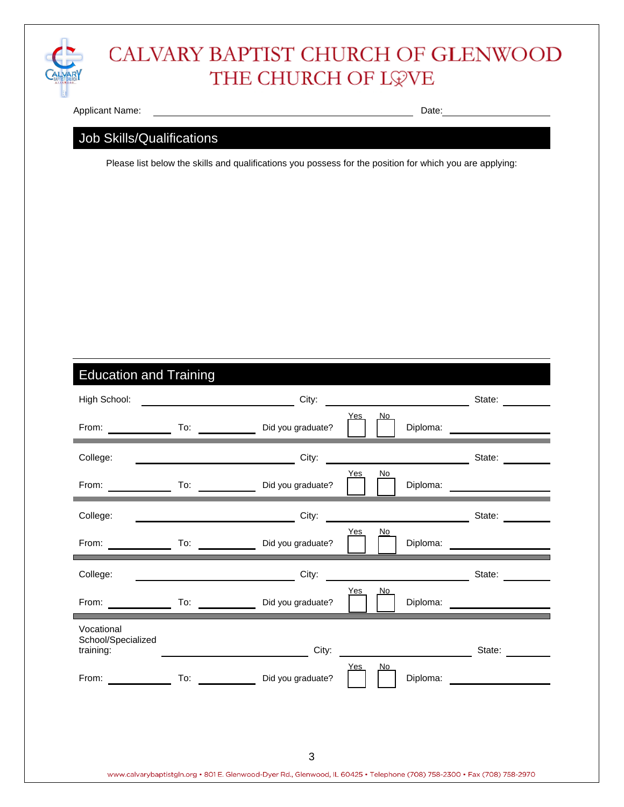

### CALVARY BAPTIST CHURCH OF GLENWOOD THE CHURCH OF L\VE

Applicant Name: Date: Date: Date: Date: Date: Date: Date: Date: Date: Date: Date: Date: Date: Date: Date: Date: Date: Date: Date: Date: Date: Date: Date: Date: Date: Date: Date: Date: Date: Date: Date: Date: Date: Date: Da

#### Job Skills/Qualifications

Please list below the skills and qualifications you possess for the position for which you are applying:

### Education and Training

| High School:                                                                                                                                                                                                                   |                                                                                                                | City:                                                           |                                         | State:                                                                                                                                                                                                                         |
|--------------------------------------------------------------------------------------------------------------------------------------------------------------------------------------------------------------------------------|----------------------------------------------------------------------------------------------------------------|-----------------------------------------------------------------|-----------------------------------------|--------------------------------------------------------------------------------------------------------------------------------------------------------------------------------------------------------------------------------|
| From: The contract of the contract of the contract of the contract of the contract of the contract of the contract of the contract of the contract of the contract of the contract of the contract of the contract of the cont |                                                                                                                | To: Did you graduate?                                           | No<br>Yes.                              | Diploma: <b>Diploma</b>                                                                                                                                                                                                        |
| College:                                                                                                                                                                                                                       |                                                                                                                | City:                                                           |                                         | State:                                                                                                                                                                                                                         |
| From:                                                                                                                                                                                                                          | To:                                                                                                            | Did you graduate?                                               | No<br>Yes<br>Diploma:                   |                                                                                                                                                                                                                                |
| College:                                                                                                                                                                                                                       |                                                                                                                | City:<br><u> 1989 - Jan Bernard Bernard, brittisk politik (</u> |                                         | State:                                                                                                                                                                                                                         |
| From:                                                                                                                                                                                                                          | To: $\qquad \qquad \qquad$                                                                                     | Did you graduate?                                               | Yes<br>No<br>Diploma:                   |                                                                                                                                                                                                                                |
| College:                                                                                                                                                                                                                       |                                                                                                                | City:                                                           | <u> 1980 - Johann Barbara, martxa a</u> | State:                                                                                                                                                                                                                         |
| From:                                                                                                                                                                                                                          | To: $\qquad \qquad \qquad$                                                                                     | Did you graduate?                                               | No<br>Yes                               | Diploma:                                                                                                                                                                                                                       |
| Vocational<br>School/Specialized<br>training:                                                                                                                                                                                  |                                                                                                                | City:                                                           |                                         | State:                                                                                                                                                                                                                         |
| From:                                                                                                                                                                                                                          | To: and the state of the state of the state of the state of the state of the state of the state of the state o | Did you graduate?                                               | No.<br>Yes                              | Diploma: and the control of the control of the control of the control of the control of the control of the control of the control of the control of the control of the control of the control of the control of the control of |
|                                                                                                                                                                                                                                |                                                                                                                |                                                                 |                                         |                                                                                                                                                                                                                                |
|                                                                                                                                                                                                                                |                                                                                                                |                                                                 |                                         |                                                                                                                                                                                                                                |
|                                                                                                                                                                                                                                |                                                                                                                | 3                                                               |                                         |                                                                                                                                                                                                                                |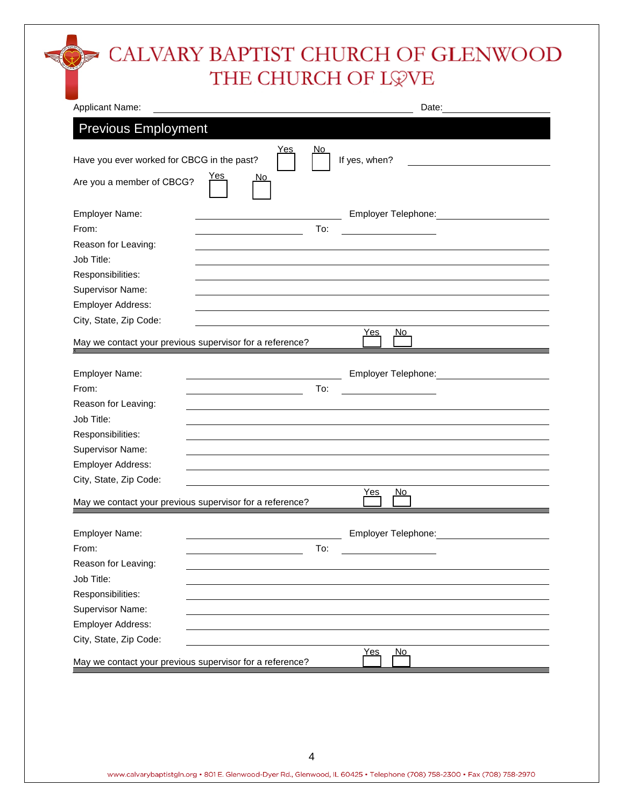### CALVARY BAPTIST CHURCH OF GLENWOOD THE CHURCH OF L\VE

| Applicant Name:                                          | Date:                                                                                                                                                                                                                          |
|----------------------------------------------------------|--------------------------------------------------------------------------------------------------------------------------------------------------------------------------------------------------------------------------------|
| <b>Previous Employment</b>                               |                                                                                                                                                                                                                                |
| <u>Yes</u><br>Have you ever worked for CBCG in the past? | <u>No</u><br>If yes, when?                                                                                                                                                                                                     |
| <u>Yes</u><br>No.<br>Are you a member of CBCG?           |                                                                                                                                                                                                                                |
| Employer Name:                                           | Employer Telephone:                                                                                                                                                                                                            |
| From:                                                    | To:                                                                                                                                                                                                                            |
| Reason for Leaving:                                      |                                                                                                                                                                                                                                |
| Job Title:                                               |                                                                                                                                                                                                                                |
| Responsibilities:                                        |                                                                                                                                                                                                                                |
| Supervisor Name:                                         |                                                                                                                                                                                                                                |
| Employer Address:                                        |                                                                                                                                                                                                                                |
| City, State, Zip Code:                                   | <u>No</u><br><u>Yes</u>                                                                                                                                                                                                        |
| May we contact your previous supervisor for a reference? |                                                                                                                                                                                                                                |
|                                                          |                                                                                                                                                                                                                                |
| Employer Name:                                           | Employer Telephone: The control of the control of the control of the control of the control of the control of the control of the control of the control of the control of the control of the control of the control of the con |
| From:                                                    | To:                                                                                                                                                                                                                            |
| Reason for Leaving:<br>Job Title:                        |                                                                                                                                                                                                                                |
|                                                          |                                                                                                                                                                                                                                |
| Responsibilities:<br>Supervisor Name:                    |                                                                                                                                                                                                                                |
| Employer Address:                                        |                                                                                                                                                                                                                                |
| City, State, Zip Code:                                   |                                                                                                                                                                                                                                |
|                                                          | Yes<br><u>No</u>                                                                                                                                                                                                               |
| May we contact your previous supervisor for a reference? |                                                                                                                                                                                                                                |
| Employer Name:                                           |                                                                                                                                                                                                                                |
| From:                                                    | To:                                                                                                                                                                                                                            |
| Reason for Leaving:                                      |                                                                                                                                                                                                                                |
| Job Title:                                               |                                                                                                                                                                                                                                |
| Responsibilities:                                        |                                                                                                                                                                                                                                |
| Supervisor Name:                                         |                                                                                                                                                                                                                                |
| Employer Address:                                        |                                                                                                                                                                                                                                |
| City, State, Zip Code:                                   |                                                                                                                                                                                                                                |
|                                                          | <u>No</u><br><u>Yes</u>                                                                                                                                                                                                        |
| May we contact your previous supervisor for a reference? |                                                                                                                                                                                                                                |
|                                                          |                                                                                                                                                                                                                                |
|                                                          |                                                                                                                                                                                                                                |
|                                                          |                                                                                                                                                                                                                                |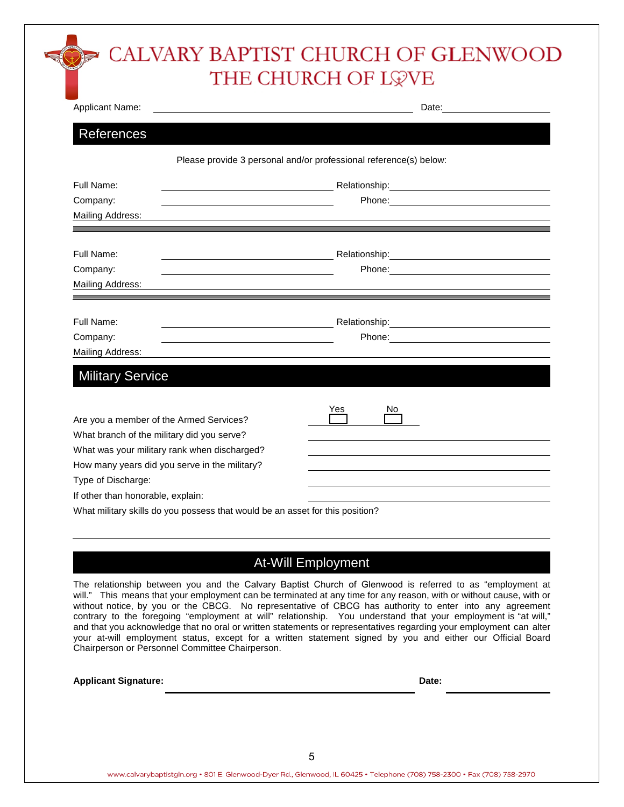### CALVARY BAPTIST CHURCH OF GLENWOOD THE CHURCH OF LOVE

| Applicant Name:                                                                       |                                                                                                     |  |  |  |
|---------------------------------------------------------------------------------------|-----------------------------------------------------------------------------------------------------|--|--|--|
| References                                                                            |                                                                                                     |  |  |  |
|                                                                                       | Please provide 3 personal and/or professional reference(s) below:                                   |  |  |  |
| Full Name:                                                                            |                                                                                                     |  |  |  |
| Company:                                                                              | Phone: Note: Note: Note: Note: Note: Note: Note: Note: Note: Note: Note: Note: Note: Note: Note: No |  |  |  |
| Mailing Address:                                                                      |                                                                                                     |  |  |  |
| Full Name:                                                                            |                                                                                                     |  |  |  |
| Company:<br><u> 1980 - Johann Barbara, martin a</u>                                   |                                                                                                     |  |  |  |
| Mailing Address:                                                                      |                                                                                                     |  |  |  |
|                                                                                       |                                                                                                     |  |  |  |
| Full Name:                                                                            |                                                                                                     |  |  |  |
| Company:                                                                              |                                                                                                     |  |  |  |
| Mailing Address:                                                                      |                                                                                                     |  |  |  |
| <b>Military Service</b>                                                               |                                                                                                     |  |  |  |
|                                                                                       |                                                                                                     |  |  |  |
|                                                                                       | Yes<br>Νo                                                                                           |  |  |  |
| Are you a member of the Armed Services?<br>What branch of the military did you serve? |                                                                                                     |  |  |  |
| What was your military rank when discharged?                                          |                                                                                                     |  |  |  |
| How many years did you serve in the military?                                         |                                                                                                     |  |  |  |
| Type of Discharge:                                                                    |                                                                                                     |  |  |  |
| If other than honorable, explain:                                                     |                                                                                                     |  |  |  |
|                                                                                       | What military skills do you possess that would be an asset for this position?                       |  |  |  |

#### At-Will Employment

The relationship between you and the Calvary Baptist Church of Glenwood is referred to as "employment at will." This means that your employment can be terminated at any time for any reason, with or without cause, with or without notice, by you or the CBCG. No representative of CBCG has authority to enter into any agreement contrary to the foregoing "employment at will" relationship. You understand that your employment is "at will," and that you acknowledge that no oral or written statements or representatives regarding your employment can alter your at-will employment status, except for a written statement signed by you and either our Official Board Chairperson or Personnel Committee Chairperson.

| <b>Applicant Signature:</b> | Date: |  |
|-----------------------------|-------|--|
|                             |       |  |